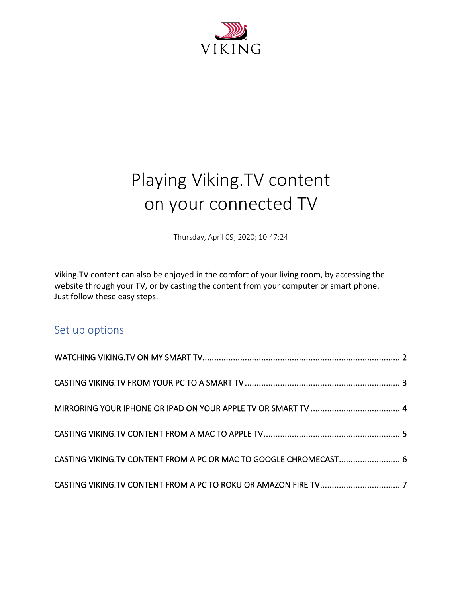

# Playing Viking.TV content ON YOUR CONNECTED TV<br>Thursday, April 09, 2020; 10:47:24

Viking.TV content can also be enjoyed in the comfort of your living room, by accessing the website through your TV, or by casting the content from your computer or smart phone. Just follow these easy steps.

## Set up options

| CASTING VIKING.TV CONTENT FROM A PC OR MAC TO GOOGLE CHROMECAST 6 |  |
|-------------------------------------------------------------------|--|
|                                                                   |  |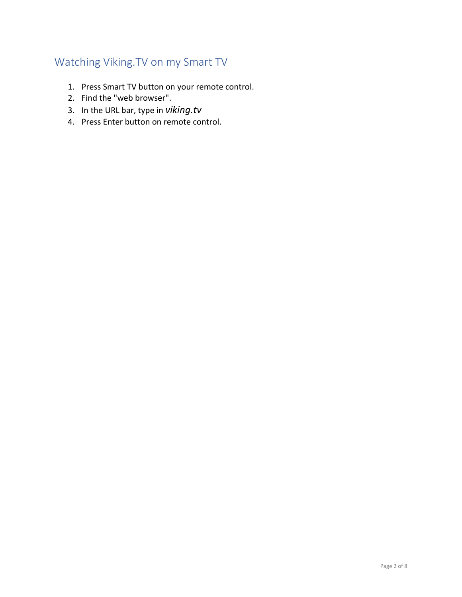## <span id="page-1-0"></span>Watching Viking.TV on my Smart TV

- 1. Press Smart TV button on your remote control.
- 2. Find the "web browser".
- 3. In the URL bar, type in *viking.tv*
- 4. Press Enter button on remote control.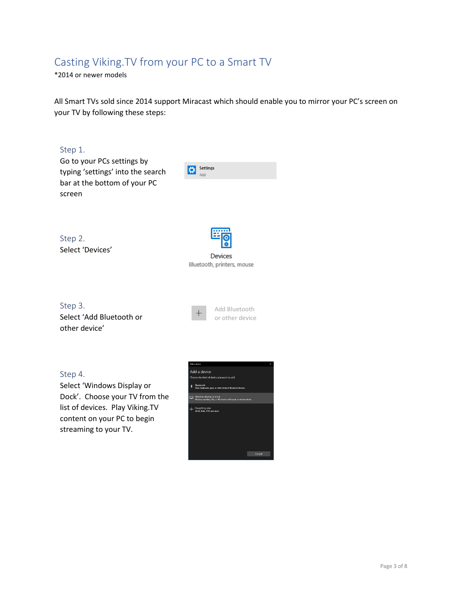## <span id="page-2-0"></span>Casting Viking.TV from your PC to a Smart TV

\*2014 or newer models

All Smart TVs sold since 2014 support Miracast which should enable you to mirror your PC's screen on your TV by following these steps:

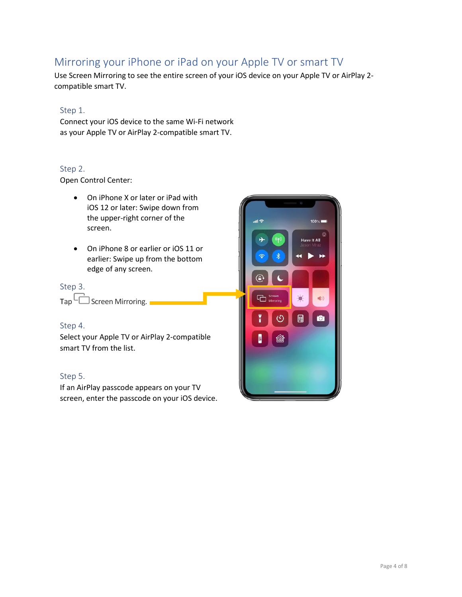## <span id="page-3-0"></span>Mirroring your iPhone or iPad on your Apple TV or smart TV

Use Screen Mirroring to see the entire screen of your iOS device on your Apple TV or AirPlay 2 compatible smart TV.

### Step 1.

Connect your iOS device to the same Wi-Fi network as your Apple TV or AirPlay 2-compatible smart TV.

#### Step 2.

Open Control Center:

- On iPhone X or later or iPad with iOS 12 or later: Swipe down from the upper-right corner of the screen.
- On iPhone 8 or earlier or iOS 11 or earlier: Swipe up from the bottom edge of any screen.

## Step 3.

 $Tap \overset{\frown}{\Box}$  Screen Mirroring.

## Step 4.

Select your Apple TV or AirPlay 2-compatible smart TV from the list.

#### Step 5.

If an AirPlay passcode appears on your TV screen, enter the passcode on your iOS device.

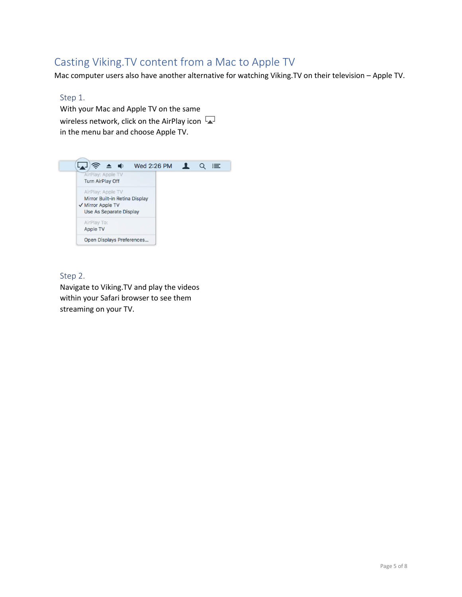## <span id="page-4-0"></span>Casting Viking.TV content from a Mac to Apple TV

Mac computer users also have another alternative for watching Viking.TV on their television – Apple TV.

## Step 1.

With your Mac and Apple TV on the same wireless network, click on the AirPlay icon in the menu bar and choose Apple TV.



### Step 2.

Navigate to Viking.TV and play the videos within your Safari browser to see them streaming on your TV.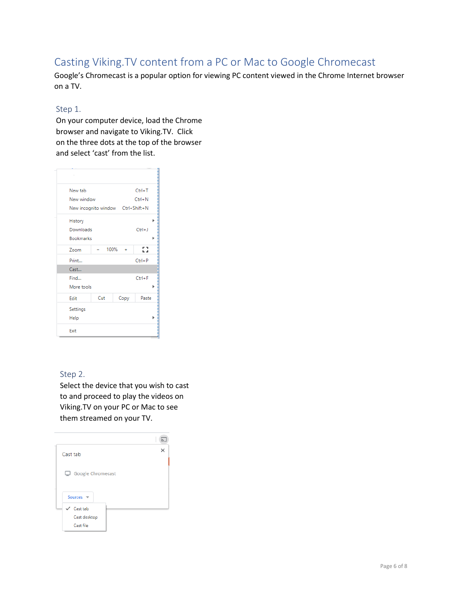## <span id="page-5-0"></span>Casting Viking.TV content from a PC or Mac to Google Chromecast

Google's Chromecast is a popular option for viewing PC content viewed in the Chrome Internet browser on a TV.

#### Step 1.

On your computer device, load the Chrome browser and navigate to Viking.TV. Click on the three dots at the top of the browser and select 'cast' from the list.

| New tab                           |      |      | $Ctrl+T$   |  |
|-----------------------------------|------|------|------------|--|
| New window                        |      |      | $Ctrl + N$ |  |
| New incognito window Ctrl+Shift+N |      |      |            |  |
| History                           |      |      |            |  |
| Downloads                         |      |      | $Ctrl + J$ |  |
| <b>Bookmarks</b>                  |      |      |            |  |
| Zoom                              | 100% |      | 83         |  |
| Print                             |      |      | $Ctrl + P$ |  |
| Cast                              |      |      |            |  |
| Find                              |      |      | $Ctrl + F$ |  |
| More tools                        |      |      |            |  |
| Edit                              | Cut  | Copy | Paste      |  |
| Settings                          |      |      |            |  |
| Help                              |      |      |            |  |
| Exit                              |      |      |            |  |

#### Step 2.

Select the device that you wish to cast to and proceed to play the videos on Viking.TV on your PC or Mac to see them streamed on your TV.

| Cast tab                        | $\times$ |
|---------------------------------|----------|
| Google Chromecast               |          |
| Sources $\overline{\mathbf{v}}$ |          |
| $\checkmark$ Cast tab           |          |
| Cast desktop                    |          |
| Cast file                       |          |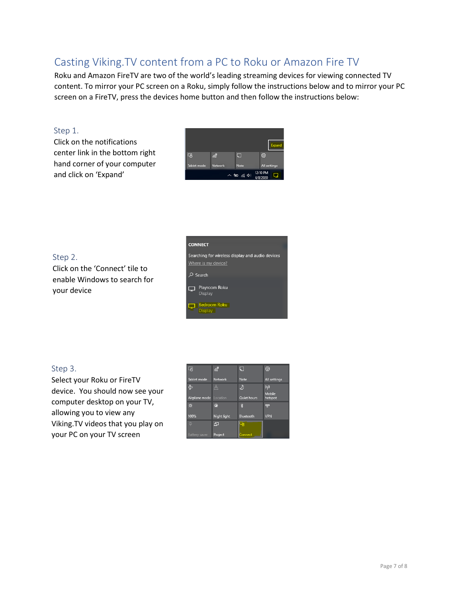## <span id="page-6-0"></span>Casting Viking.TV content from a PC to Roku or Amazon Fire TV

Roku and Amazon FireTV are two of the world's leading streaming devices for viewing connected TV content. To mirror your PC screen on a Roku, simply follow the instructions below and to mirror your PC screen on a FireTV, press the devices home button and then follow the instructions below:

#### Step 1.

Click on the notifications center link in the bottom right hand corner of your computer and click on 'Expand'



## Step 2.

Click on the 'Connect' tile to enable Windows to search for your device



## Step 3.

Select your Roku or FireTV device. You should now see your computer desktop on your TV, allowing you to view any Viking.TV videos that you play on your PC on your TV screen

| 肃                    | ൙           | प्त         | ö                 |
|----------------------|-------------|-------------|-------------------|
| Tablet mode          | Network     | Note        | All settings      |
| 空                    | Å           | D           | $(\eta)$          |
| Airplane mode        | Location    | Quiet hours | Mobile<br>hotspot |
| ※                    | $\alpha$    | ∗           | တွာ               |
| 100%                 | Night light | Bluetooth   | <b>VPN</b>        |
| Ô                    | 中           | 喃           |                   |
| <b>Battery saver</b> | Project     | Connect     |                   |